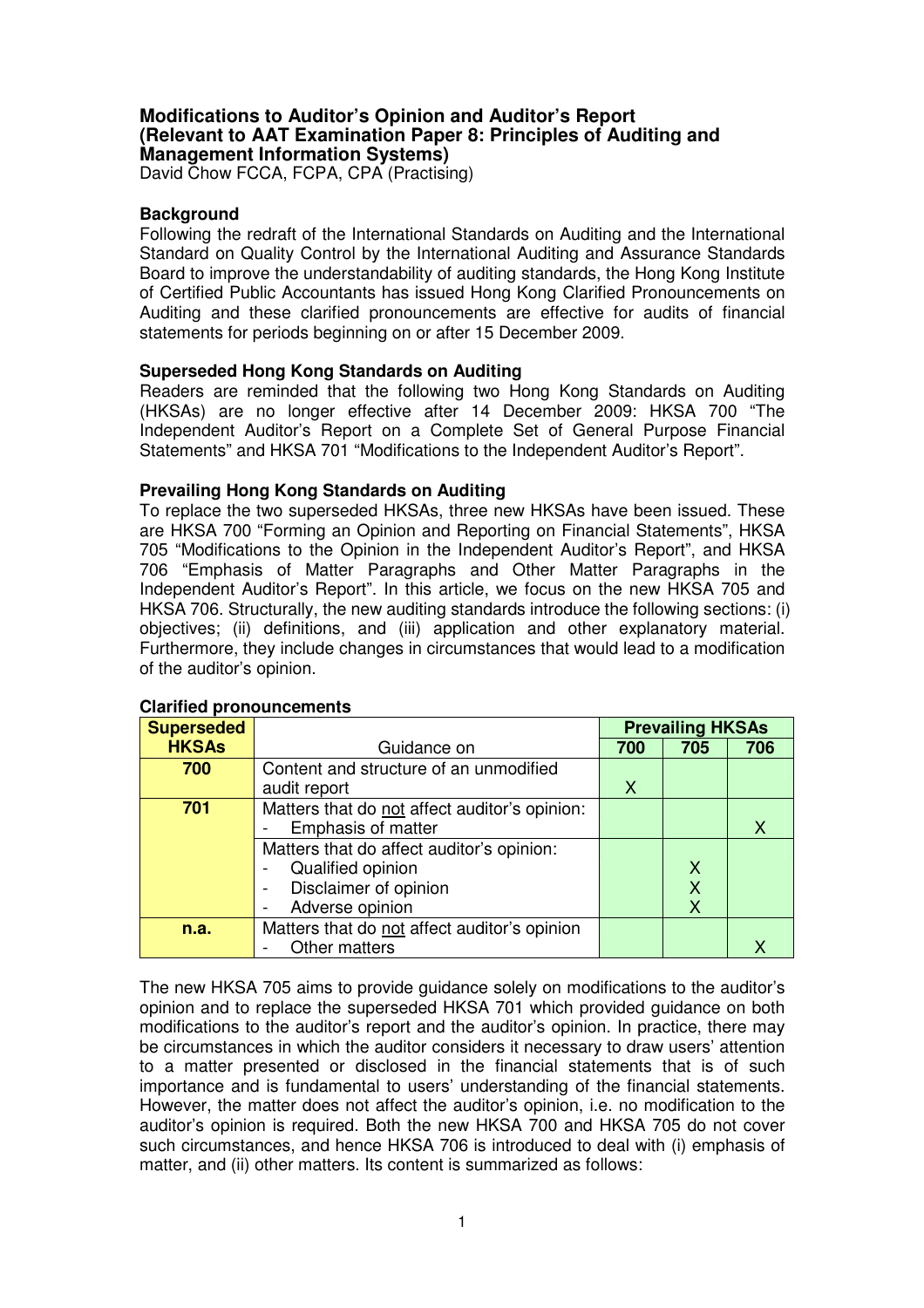### **Modifications to Auditor's Opinion and Auditor's Report (Relevant to AAT Examination Paper 8: Principles of Auditing and Management Information Systems)**

David Chow FCCA, FCPA, CPA (Practising)

## **Background**

Following the redraft of the International Standards on Auditing and the International Standard on Quality Control by the International Auditing and Assurance Standards Board to improve the understandability of auditing standards, the Hong Kong Institute of Certified Public Accountants has issued Hong Kong Clarified Pronouncements on Auditing and these clarified pronouncements are effective for audits of financial statements for periods beginning on or after 15 December 2009.

### **Superseded Hong Kong Standards on Auditing**

Readers are reminded that the following two Hong Kong Standards on Auditing (HKSAs) are no longer effective after 14 December 2009: HKSA 700 "The Independent Auditor's Report on a Complete Set of General Purpose Financial Statements" and HKSA 701 "Modifications to the Independent Auditor's Report".

### **Prevailing Hong Kong Standards on Auditing**

To replace the two superseded HKSAs, three new HKSAs have been issued. These are HKSA 700 "Forming an Opinion and Reporting on Financial Statements", HKSA 705 "Modifications to the Opinion in the Independent Auditor's Report", and HKSA 706 "Emphasis of Matter Paragraphs and Other Matter Paragraphs in the Independent Auditor's Report". In this article, we focus on the new HKSA 705 and HKSA 706. Structurally, the new auditing standards introduce the following sections: (i) objectives; (ii) definitions, and (iii) application and other explanatory material. Furthermore, they include changes in circumstances that would lead to a modification of the auditor's opinion.

| <b>Superseded</b> |                                                   | <b>Prevailing HKSAs</b> |     |                           |
|-------------------|---------------------------------------------------|-------------------------|-----|---------------------------|
| <b>HKSAs</b>      | Guidance on                                       | 700                     | 705 | 706                       |
| 700               | Content and structure of an unmodified            |                         |     |                           |
|                   | audit report                                      | X                       |     |                           |
| 701               | Matters that do not affect auditor's opinion:     |                         |     |                           |
|                   | <b>Emphasis of matter</b>                         |                         |     | $\boldsymbol{\mathsf{X}}$ |
|                   | Matters that do affect auditor's opinion:         |                         |     |                           |
|                   | Qualified opinion                                 |                         |     |                           |
|                   | Disclaimer of opinion<br>$\overline{\phantom{a}}$ |                         |     |                           |
|                   | Adverse opinion                                   |                         |     |                           |
| n.a.              | Matters that do not affect auditor's opinion      |                         |     |                           |
|                   | Other matters                                     |                         |     | Х                         |

#### **Clarified pronouncements**

The new HKSA 705 aims to provide guidance solely on modifications to the auditor's opinion and to replace the superseded HKSA 701 which provided guidance on both modifications to the auditor's report and the auditor's opinion. In practice, there may be circumstances in which the auditor considers it necessary to draw users' attention to a matter presented or disclosed in the financial statements that is of such importance and is fundamental to users' understanding of the financial statements. However, the matter does not affect the auditor's opinion, i.e. no modification to the auditor's opinion is required. Both the new HKSA 700 and HKSA 705 do not cover such circumstances, and hence HKSA 706 is introduced to deal with (i) emphasis of matter, and (ii) other matters. Its content is summarized as follows: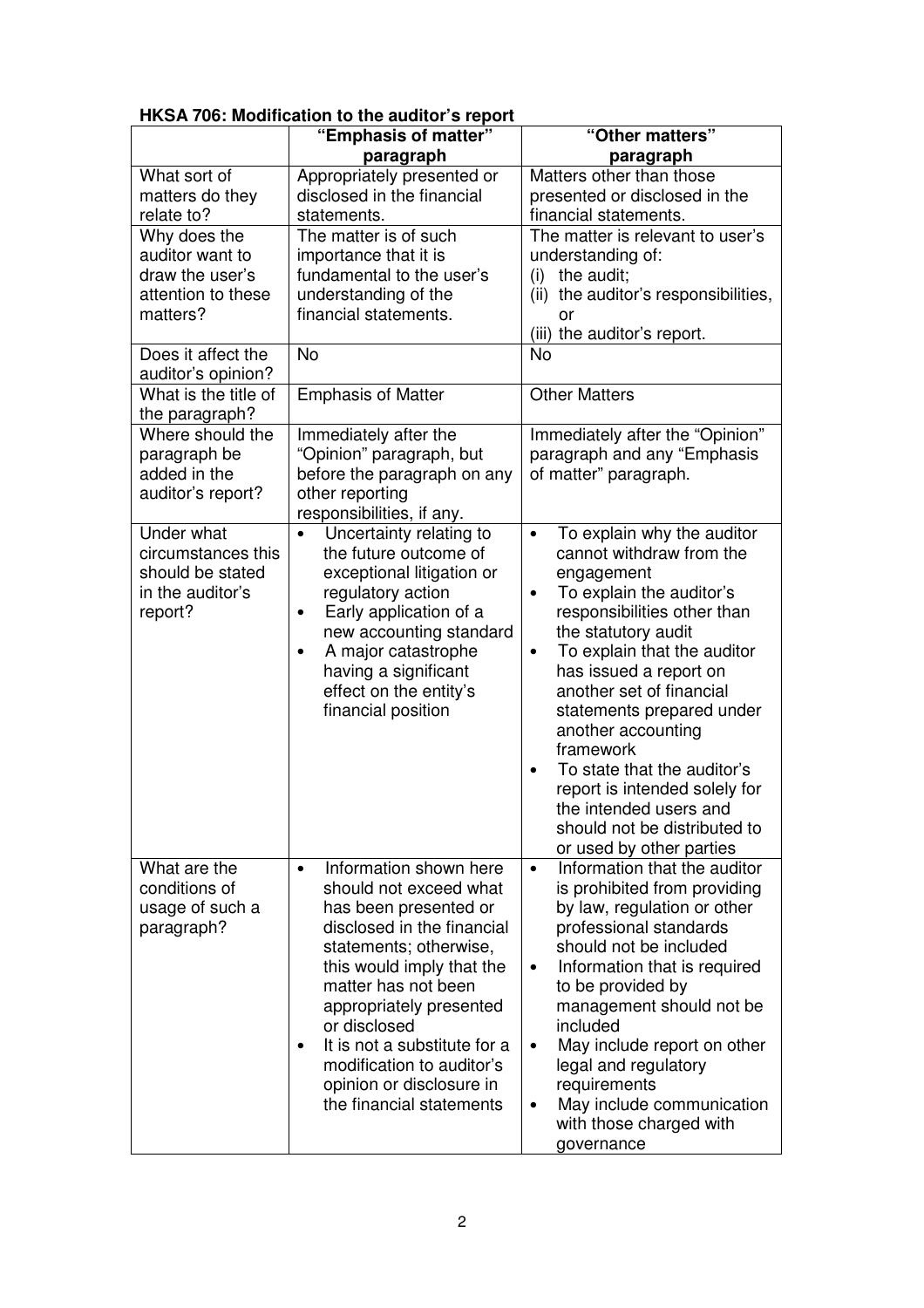| HKSA 706: Modification to the auditor's report |  |
|------------------------------------------------|--|
|------------------------------------------------|--|

|                      | "Emphasis of matter"                                           | "Other matters"                                    |
|----------------------|----------------------------------------------------------------|----------------------------------------------------|
|                      | paragraph                                                      | paragraph                                          |
| What sort of         | Appropriately presented or                                     | Matters other than those                           |
| matters do they      | disclosed in the financial                                     | presented or disclosed in the                      |
| relate to?           | statements.                                                    | financial statements.                              |
| Why does the         | The matter is of such                                          | The matter is relevant to user's                   |
| auditor want to      | importance that it is                                          | understanding of:                                  |
| draw the user's      | fundamental to the user's                                      | the audit;<br>(i)                                  |
| attention to these   | understanding of the                                           | (ii) the auditor's responsibilities,               |
| matters?             | financial statements.                                          | or<br>(iii) the auditor's report.                  |
| Does it affect the   | <b>No</b>                                                      | No                                                 |
| auditor's opinion?   |                                                                |                                                    |
| What is the title of | <b>Emphasis of Matter</b>                                      | <b>Other Matters</b>                               |
| the paragraph?       |                                                                |                                                    |
| Where should the     | Immediately after the                                          | Immediately after the "Opinion"                    |
| paragraph be         | "Opinion" paragraph, but                                       | paragraph and any "Emphasis                        |
| added in the         | before the paragraph on any                                    | of matter" paragraph.                              |
| auditor's report?    | other reporting                                                |                                                    |
|                      | responsibilities, if any.                                      |                                                    |
| Under what           | Uncertainty relating to<br>$\bullet$                           | To explain why the auditor<br>$\bullet$            |
| circumstances this   | the future outcome of                                          | cannot withdraw from the                           |
| should be stated     | exceptional litigation or                                      | engagement                                         |
| in the auditor's     | regulatory action                                              | To explain the auditor's<br>$\bullet$              |
| report?              | Early application of a<br>$\bullet$<br>new accounting standard | responsibilities other than<br>the statutory audit |
|                      | A major catastrophe<br>$\bullet$                               | To explain that the auditor<br>٠                   |
|                      | having a significant                                           | has issued a report on                             |
|                      | effect on the entity's                                         | another set of financial                           |
|                      | financial position                                             | statements prepared under                          |
|                      |                                                                | another accounting                                 |
|                      |                                                                | framework                                          |
|                      |                                                                | To state that the auditor's<br>$\bullet$           |
|                      |                                                                | report is intended solely for                      |
|                      |                                                                | the intended users and                             |
|                      |                                                                | should not be distributed to                       |
|                      |                                                                | or used by other parties                           |
| What are the         | Information shown here<br>$\bullet$                            | Information that the auditor<br>$\bullet$          |
| conditions of        | should not exceed what                                         | is prohibited from providing                       |
| usage of such a      | has been presented or                                          | by law, regulation or other                        |
| paragraph?           | disclosed in the financial                                     | professional standards                             |
|                      | statements; otherwise,                                         | should not be included                             |
|                      | this would imply that the                                      | Information that is required<br>$\bullet$          |
|                      | matter has not been                                            | to be provided by                                  |
|                      | appropriately presented<br>or disclosed                        | management should not be<br>included               |
|                      | It is not a substitute for a                                   | May include report on other<br>٠                   |
|                      | modification to auditor's                                      | legal and regulatory                               |
|                      | opinion or disclosure in                                       | requirements                                       |
|                      | the financial statements                                       | May include communication<br>٠                     |
|                      |                                                                | with those charged with                            |
|                      |                                                                | governance                                         |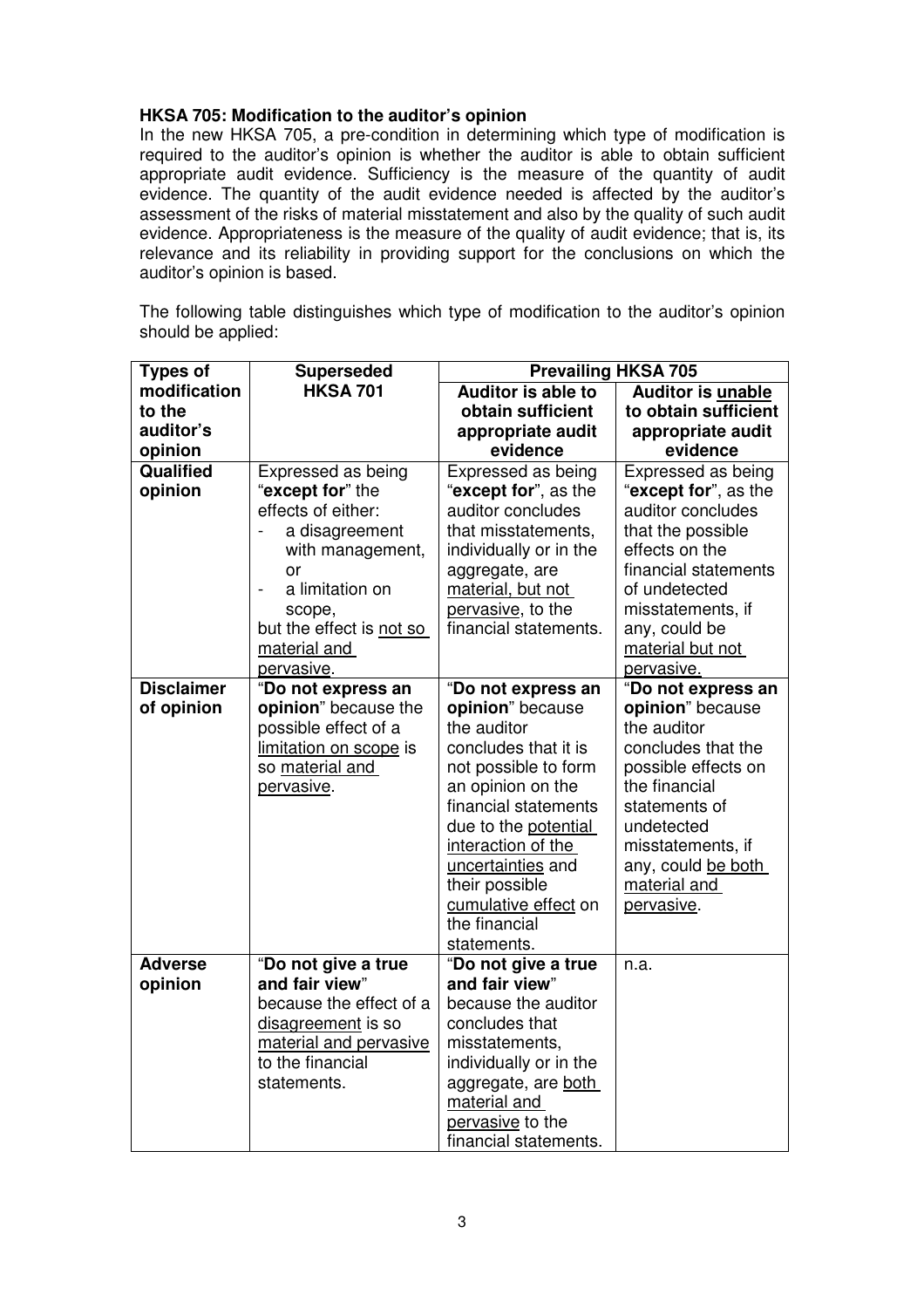# **HKSA 705: Modification to the auditor's opinion**

In the new HKSA 705, a pre-condition in determining which type of modification is required to the auditor's opinion is whether the auditor is able to obtain sufficient appropriate audit evidence. Sufficiency is the measure of the quantity of audit evidence. The quantity of the audit evidence needed is affected by the auditor's assessment of the risks of material misstatement and also by the quality of such audit evidence. Appropriateness is the measure of the quality of audit evidence; that is, its relevance and its reliability in providing support for the conclusions on which the auditor's opinion is based.

The following table distinguishes which type of modification to the auditor's opinion should be applied:

| <b>Types of</b>   | <b>Superseded</b>        | <b>Prevailing HKSA 705</b>            |                          |  |
|-------------------|--------------------------|---------------------------------------|--------------------------|--|
| modification      | <b>HKSA 701</b>          | <b>Auditor is able to</b>             | <b>Auditor is unable</b> |  |
| to the            |                          | obtain sufficient                     | to obtain sufficient     |  |
| auditor's         |                          | appropriate audit                     | appropriate audit        |  |
| opinion           |                          | evidence                              | evidence                 |  |
| Qualified         | Expressed as being       | Expressed as being                    | Expressed as being       |  |
| opinion           | "except for" the         | "except for", as the                  | "except for", as the     |  |
|                   | effects of either:       | auditor concludes                     | auditor concludes        |  |
|                   | a disagreement           | that misstatements,                   | that the possible        |  |
|                   | with management,         | individually or in the                | effects on the           |  |
|                   | or                       | aggregate, are                        | financial statements     |  |
|                   | a limitation on          | material, but not                     | of undetected            |  |
|                   | scope,                   | pervasive, to the                     | misstatements, if        |  |
|                   | but the effect is not so | financial statements.                 | any, could be            |  |
|                   | material and             |                                       | material but not         |  |
|                   | pervasive.               |                                       | pervasive.               |  |
| <b>Disclaimer</b> | "Do not express an       | "Do not express an                    | "Do not express an       |  |
| of opinion        | opinion" because the     | opinion" because                      | opinion" because         |  |
|                   | possible effect of a     | the auditor                           | the auditor              |  |
|                   | limitation on scope is   | concludes that it is                  | concludes that the       |  |
|                   | so material and          | not possible to form                  | possible effects on      |  |
|                   | <u>pervasive</u> .       | an opinion on the                     | the financial            |  |
|                   |                          | financial statements                  | statements of            |  |
|                   |                          | due to the potential                  | undetected               |  |
|                   |                          | interaction of the                    | misstatements, if        |  |
|                   |                          | uncertainties and                     | any, could be both       |  |
|                   |                          | their possible                        | material and             |  |
|                   |                          | cumulative effect on<br>the financial | pervasive.               |  |
|                   |                          | statements.                           |                          |  |
| <b>Adverse</b>    | "Do not give a true      | "Do not give a true                   | n.a.                     |  |
| opinion           | and fair view"           | and fair view"                        |                          |  |
|                   | because the effect of a  | because the auditor                   |                          |  |
|                   | disagreement is so       | concludes that                        |                          |  |
|                   | material and pervasive   | misstatements,                        |                          |  |
|                   | to the financial         | individually or in the                |                          |  |
|                   | statements.              | aggregate, are both                   |                          |  |
|                   |                          | material and                          |                          |  |
|                   |                          | pervasive to the                      |                          |  |
|                   |                          | financial statements.                 |                          |  |